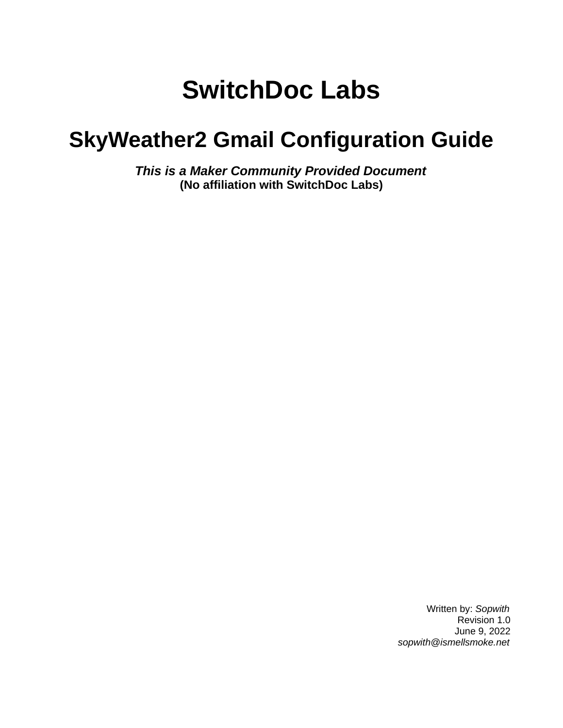# **SwitchDoc Labs**

# **SkyWeather2 Gmail Configuration Guide**

*This is a Maker Community Provided Document* **(No affiliation with SwitchDoc Labs)**

> Written by: *Sopwith* Revision 1.0 June 9, 2022 *sopwith@ismellsmoke.net*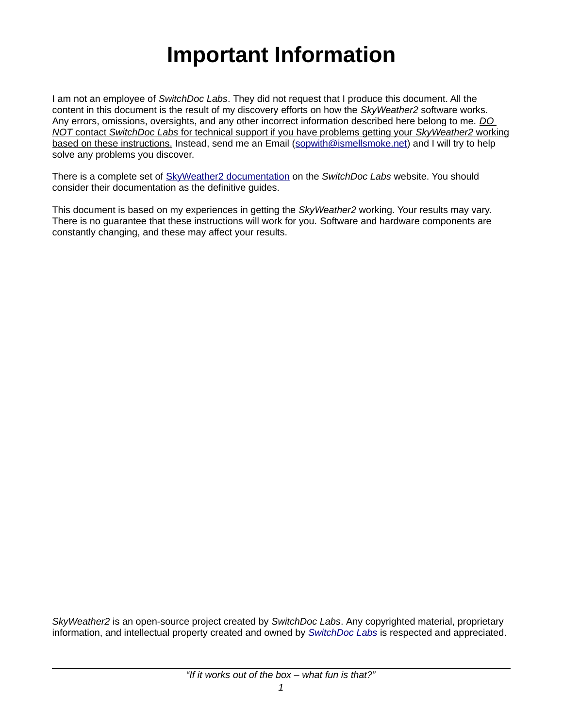# **Important Information**

I am not an employee of *SwitchDoc Labs*. They did not request that I produce this document. All the content in this document is the result of my discovery efforts on how the *SkyWeather2* software works. Any errors, omissions, oversights, and any other incorrect information described here belong to me. *DO NOT* contact *SwitchDoc Labs* for technical support if you have problems getting your *SkyWeather2* working based on these instructions. Instead, send me an Email [\(sopwith@ismellsmoke.net\)](mailto:sopwith@ismellsmoke.net) and I will try to help solve any problems you discover.

There is a complete set of [SkyWeather2 documentation](https://shop.switchdoc.com/products/skyweather2-raspberry-pi-based-weather-station-kit-for-the-cloud) on the *SwitchDoc Labs* website. You should consider their documentation as the definitive guides.

This document is based on my experiences in getting the *SkyWeather2* working. Your results may vary. There is no guarantee that these instructions will work for you. Software and hardware components are constantly changing, and these may affect your results.

*SkyWeather2* is an open-source project created by *SwitchDoc Labs*. Any copyrighted material, proprietary information, and intellectual property created and owned by *[SwitchDoc Labs](https://shop.switchdoc.com/)* is respected and appreciated.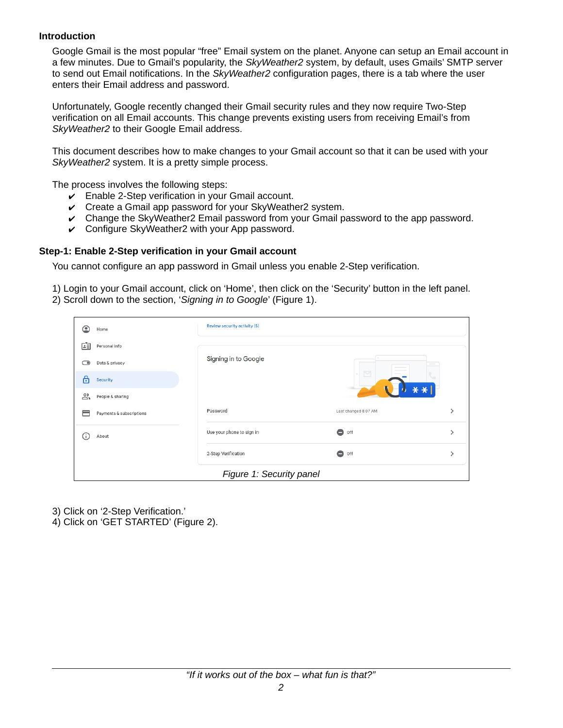#### **Introduction**

Google Gmail is the most popular "free" Email system on the planet. Anyone can setup an Email account in a few minutes. Due to Gmail's popularity, the *SkyWeather2* system, by default, uses Gmails' SMTP server to send out Email notifications. In the *SkyWeather2* configuration pages, there is a tab where the user enters their Email address and password.

Unfortunately, Google recently changed their Gmail security rules and they now require Two-Step verification on all Email accounts. This change prevents existing users from receiving Email's from *SkyWeather2* to their Google Email address.

This document describes how to make changes to your Gmail account so that it can be used with your *SkyWeather2* system. It is a pretty simple process.

The process involves the following steps:

- $\triangleright$  Enable 2-Step verification in your Gmail account.
- $\vee$  Create a Gmail app password for your SkyWeather2 system.
- $\triangleright$  Change the SkyWeather2 Email password from your Gmail password to the app password.
- $\checkmark$  Configure SkyWeather2 with your App password.

#### **Step-1: Enable 2-Step verification in your Gmail account**

You cannot configure an app password in Gmail unless you enable 2-Step verification.

1) Login to your Gmail account, click on 'Home', then click on the 'Security' button in the left panel. 2) Scroll down to the section, '*Signing in to Google*' (Figure [1](#page-2-0)).

| ີ  | Home                     | Review security activity (5) |                      |                                                                                                                           |
|----|--------------------------|------------------------------|----------------------|---------------------------------------------------------------------------------------------------------------------------|
| Ġ  | Personal info            |                              |                      |                                                                                                                           |
| ✑  | Data & privacy           | Signing in to Google         |                      | $\frac{1}{2} \left( \frac{1}{2} \right) \left( \frac{1}{2} \right) \left( \frac{1}{2} \right) \left( \frac{1}{2} \right)$ |
| 6  | Security                 |                              | $\approx$            |                                                                                                                           |
| ക് | People & sharing         |                              |                      |                                                                                                                           |
| ╒  | Payments & subscriptions | Password                     | Last changed 8:07 AM |                                                                                                                           |
| Œ  | About                    | Use your phone to sign in    | 0<br>Off             |                                                                                                                           |
|    |                          | 2-Step Verification          | ۰<br>Off             |                                                                                                                           |
|    |                          | Figure 1: Security panel     |                      |                                                                                                                           |

- <span id="page-2-0"></span>3) Click on '2-Step Verification.'
- 4) Click on 'GET STARTED' (Figure [2\)](#page-3-0).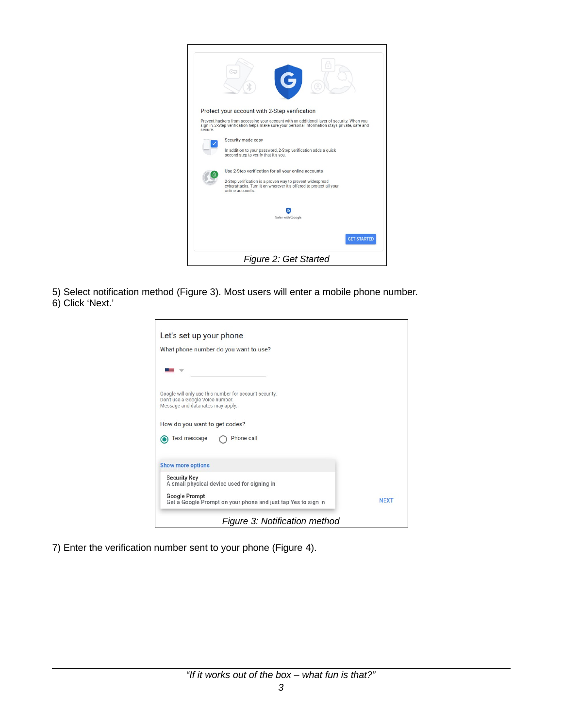

5) Select notification method (Figure [3](#page-3-1)). Most users will enter a mobile phone number. 6) Click 'Next.'

<span id="page-3-0"></span>

| What phone number do you want to use?                                                                                           |             |
|---------------------------------------------------------------------------------------------------------------------------------|-------------|
|                                                                                                                                 |             |
|                                                                                                                                 |             |
| Google will only use this number for account security.<br>Don't use a Google Voice number.<br>Message and data rates may apply. |             |
| How do you want to get codes?                                                                                                   |             |
| <b>Text message</b><br>Phone call                                                                                               |             |
| <b>Show more options</b>                                                                                                        |             |
| <b>Security Key</b><br>A small physical device used for signing in                                                              |             |
| <b>Google Prompt</b><br>Get a Google Prompt on your phone and just tap Yes to sign in                                           | <b>NEXT</b> |

<span id="page-3-1"></span>7) Enter the verification number sent to your phone (Figure [4](#page-4-0)).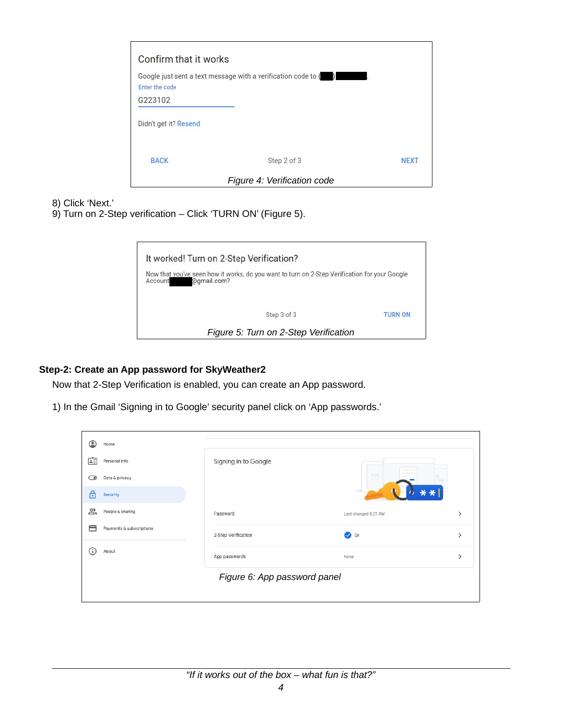| Confirm that it works |                                                               |             |
|-----------------------|---------------------------------------------------------------|-------------|
| Enter the code        | Google just sent a text message with a verification code to ( |             |
| G223102               |                                                               |             |
| Didn't get it? Resend |                                                               |             |
| <b>BACK</b>           | Step 2 of 3                                                   | <b>NEXT</b> |
|                       | Figure 4: Verification code                                   |             |

8) Click 'Next.'

9) Turn on 2-Step verification – Click 'TURN ON' (Figure [5](#page-4-1)).

<span id="page-4-1"></span><span id="page-4-0"></span>

### **Step-2: Create an App password for SkyWeather2**

Now that 2-Step Verification is enabled, you can create an App password.

1) In the Gmail 'Signing in to Google' security panel click on 'App passwords.'

| շ  | Home                     |                              |                      |                                                                                                                                                                                                                                                                                                                                                                                                                                                                            |
|----|--------------------------|------------------------------|----------------------|----------------------------------------------------------------------------------------------------------------------------------------------------------------------------------------------------------------------------------------------------------------------------------------------------------------------------------------------------------------------------------------------------------------------------------------------------------------------------|
| Ġ  | Personal info            | Signing in to Google         |                      | $\frac{1}{2} \left( \frac{1}{2} \right) \left( \frac{1}{2} \right) \left( \frac{1}{2} \right) \left( \frac{1}{2} \right) \left( \frac{1}{2} \right) \left( \frac{1}{2} \right) \left( \frac{1}{2} \right) \left( \frac{1}{2} \right) \left( \frac{1}{2} \right) \left( \frac{1}{2} \right) \left( \frac{1}{2} \right) \left( \frac{1}{2} \right) \left( \frac{1}{2} \right) \left( \frac{1}{2} \right) \left( \frac{1}{2} \right) \left( \frac{1}{2} \right) \left( \frac$ |
| ✑  | Data & privacy           |                              | $\triangleright$     |                                                                                                                                                                                                                                                                                                                                                                                                                                                                            |
| 6  | Security                 |                              |                      |                                                                                                                                                                                                                                                                                                                                                                                                                                                                            |
| చి | People & sharing         | Password                     | Last changed 8:07 AM |                                                                                                                                                                                                                                                                                                                                                                                                                                                                            |
| ╒  | Payments & subscriptions | 2-Step Verification          | <b>O</b> on          | ゝ                                                                                                                                                                                                                                                                                                                                                                                                                                                                          |
| Ŧ  | About                    | App passwords                | None                 |                                                                                                                                                                                                                                                                                                                                                                                                                                                                            |
|    |                          | Figure 6: App password panel |                      |                                                                                                                                                                                                                                                                                                                                                                                                                                                                            |
|    |                          |                              |                      |                                                                                                                                                                                                                                                                                                                                                                                                                                                                            |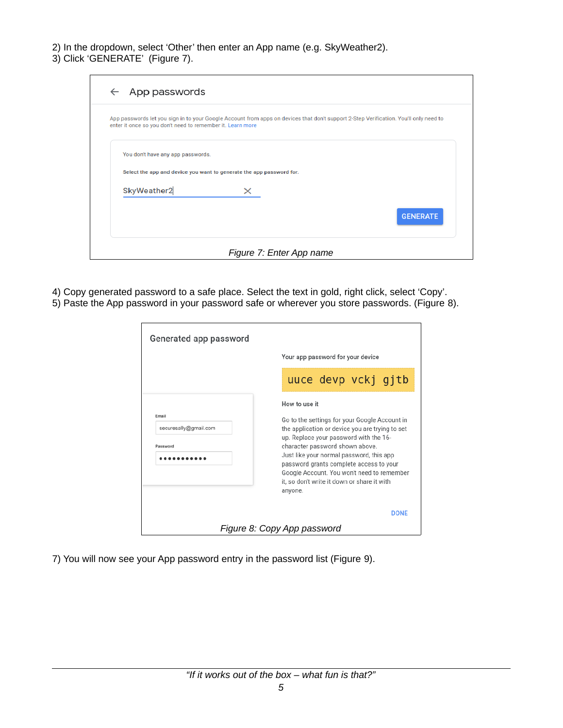2) In the dropdown, select 'Other' then enter an App name (e.g. SkyWeather2).

3) Click 'GENERATE' (Figure [7\)](#page-5-0).

| $\leftarrow$ App passwords                                                                                                                                                                          |                 |
|-----------------------------------------------------------------------------------------------------------------------------------------------------------------------------------------------------|-----------------|
| App passwords let you sign in to your Google Account from apps on devices that don't support 2-Step Verification. You'll only need to<br>enter it once so you don't need to remember it. Learn more |                 |
| You don't have any app passwords.                                                                                                                                                                   |                 |
| Select the app and device you want to generate the app password for.                                                                                                                                |                 |
| SkyWeather2                                                                                                                                                                                         |                 |
|                                                                                                                                                                                                     | <b>GENERATE</b> |
| Figure 7: Enter App name                                                                                                                                                                            |                 |

4) Copy generated password to a safe place. Select the text in gold, right click, select 'Copy'. 5) Paste the App password in your password safe or wherever you store passwords. (Figure [8\)](#page-5-1).

<span id="page-5-0"></span>

| Generated app password                     |                                                                                                                                                                                                                                                                                                                                                                                               |
|--------------------------------------------|-----------------------------------------------------------------------------------------------------------------------------------------------------------------------------------------------------------------------------------------------------------------------------------------------------------------------------------------------------------------------------------------------|
|                                            | Your app password for your device                                                                                                                                                                                                                                                                                                                                                             |
|                                            | uuce devp vckj gitb                                                                                                                                                                                                                                                                                                                                                                           |
| Email<br>securesally@gmail.com<br>Password | How to use it<br>Go to the settings for your Google Account in<br>the application or device you are trying to set<br>up. Replace your password with the 16-<br>character password shown above.<br>Just like your normal password, this app<br>password grants complete access to your<br>Google Account. You won't need to remember<br>it, so don't write it down or share it with<br>anyone. |
|                                            | <b>DONE</b>                                                                                                                                                                                                                                                                                                                                                                                   |
|                                            | Figure 8: Copy App password                                                                                                                                                                                                                                                                                                                                                                   |

<span id="page-5-1"></span>7) You will now see your App password entry in the password list (Figure [9\)](#page-6-0).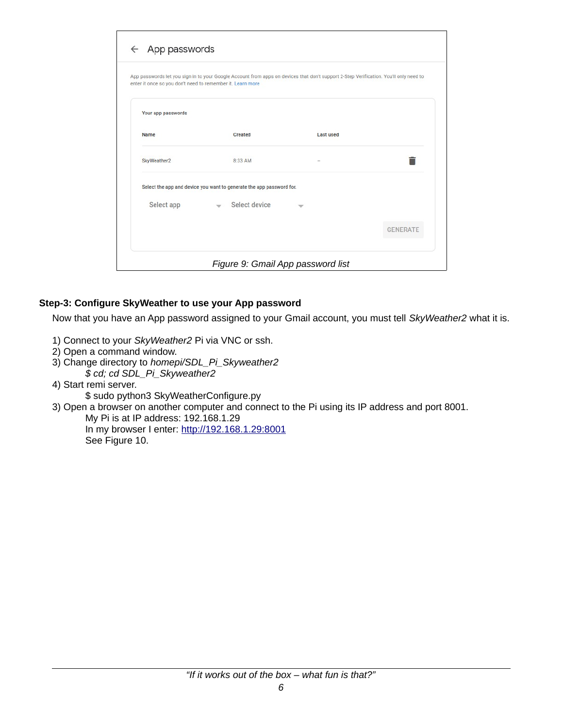| enter it once so you don't need to remember it. Learn more | App passwords let you sign in to your Google Account from apps on devices that don't support 2-Step Verification. You'll only need to |                  |                 |
|------------------------------------------------------------|---------------------------------------------------------------------------------------------------------------------------------------|------------------|-----------------|
|                                                            |                                                                                                                                       |                  |                 |
| Your app passwords                                         |                                                                                                                                       |                  |                 |
| Name                                                       | Created                                                                                                                               | <b>Last used</b> |                 |
| SkyWeather2                                                | 8:33 AM                                                                                                                               |                  |                 |
|                                                            | Select the app and device you want to generate the app password for.                                                                  |                  |                 |
| Select app                                                 | $\equiv$ Select device                                                                                                                |                  |                 |
|                                                            |                                                                                                                                       |                  | <b>GENERATE</b> |

## **Step-3: Configure SkyWeather to use your App password**

<span id="page-6-0"></span>Now that you have an App password assigned to your Gmail account, you must tell *SkyWeather2* what it is.

- 1) Connect to your *SkyWeather2* Pi via VNC or ssh.
- 2) Open a command window.
- 3) Change directory to *homepi/SDL\_Pi\_Skyweather2 \$ cd; cd SDL\_Pi\_Skyweather2*
- 4) Start remi server.
	- \$ sudo python3 SkyWeatherConfigure.py

3) Open a browser on another computer and connect to the Pi using its IP address and port 8001.

My Pi is at IP address: 192.168.1.29 In my browser I enter: [http://192.168.1.29:8001](http://192.168.1.29:8001/) See Figure [10.](#page-7-0)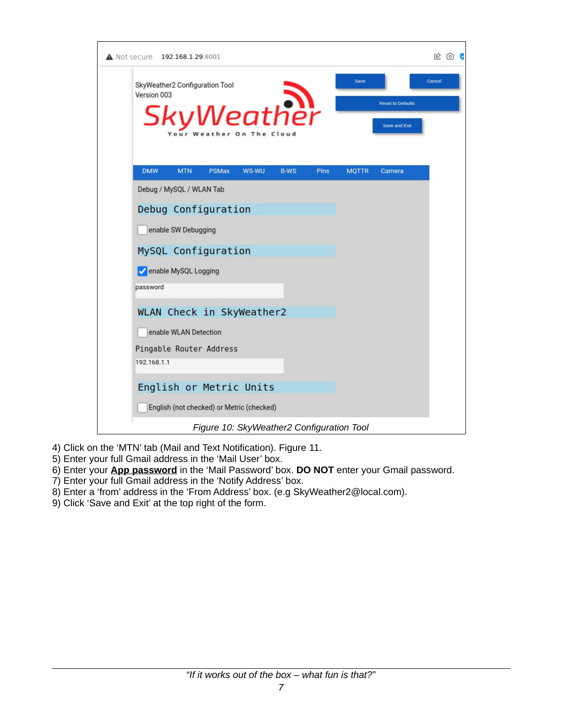

- <span id="page-7-0"></span>4) Click on the 'MTN' tab (Mail and Text Notification). Figure [11](#page-8-0).
- 5) Enter your full Gmail address in the 'Mail User' box.
- 6) Enter your **App password** in the 'Mail Password' box. **DO NOT** enter your Gmail password.
- 7) Enter your full Gmail address in the 'Notify Address' box.
- 8) Enter a 'from' address in the 'From Address' box. (e.g SkyWeather2@local.com).
- 9) Click 'Save and Exit' at the top right of the form.